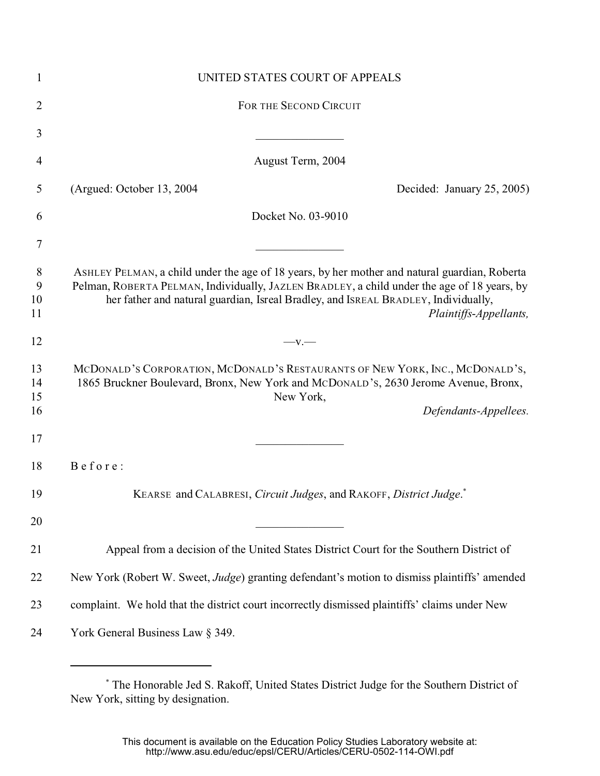| $\mathbf{1}$               | UNITED STATES COURT OF APPEALS                                                                                                                                                                                                                                                                               |
|----------------------------|--------------------------------------------------------------------------------------------------------------------------------------------------------------------------------------------------------------------------------------------------------------------------------------------------------------|
| $\overline{2}$             | FOR THE SECOND CIRCUIT                                                                                                                                                                                                                                                                                       |
| 3                          |                                                                                                                                                                                                                                                                                                              |
| 4                          | August Term, 2004                                                                                                                                                                                                                                                                                            |
| 5                          | (Argued: October 13, 2004<br>Decided: January 25, 2005)                                                                                                                                                                                                                                                      |
| 6                          | Docket No. 03-9010                                                                                                                                                                                                                                                                                           |
| 7                          |                                                                                                                                                                                                                                                                                                              |
| 8<br>9<br>10<br>11         | ASHLEY PELMAN, a child under the age of 18 years, by her mother and natural guardian, Roberta<br>Pelman, ROBERTA PELMAN, Individually, JAZLEN BRADLEY, a child under the age of 18 years, by<br>her father and natural guardian, Isreal Bradley, and ISREAL BRADLEY, Individually,<br>Plaintiffs-Appellants, |
| 12                         | $-v =$                                                                                                                                                                                                                                                                                                       |
| 13<br>14<br>15<br>16<br>17 | MCDONALD'S CORPORATION, MCDONALD'S RESTAURANTS OF NEW YORK, INC., MCDONALD'S,<br>1865 Bruckner Boulevard, Bronx, New York and McDONALD's, 2630 Jerome Avenue, Bronx,<br>New York,<br>Defendants-Appellees.                                                                                                   |
| 18                         | Before:                                                                                                                                                                                                                                                                                                      |
| 19                         | KEARSE and CALABRESI, Circuit Judges, and RAKOFF, District Judge.*                                                                                                                                                                                                                                           |
| 20                         |                                                                                                                                                                                                                                                                                                              |
| 21                         | Appeal from a decision of the United States District Court for the Southern District of                                                                                                                                                                                                                      |
| 22                         | New York (Robert W. Sweet, Judge) granting defendant's motion to dismiss plaintiffs' amended                                                                                                                                                                                                                 |
| 23                         | complaint. We hold that the district court incorrectly dismissed plaintiffs' claims under New                                                                                                                                                                                                                |
| 24                         | York General Business Law § 349.                                                                                                                                                                                                                                                                             |

<sup>\*</sup> The Honorable Jed S. Rakoff, United States District Judge for the Southern District of New York, sitting by designation.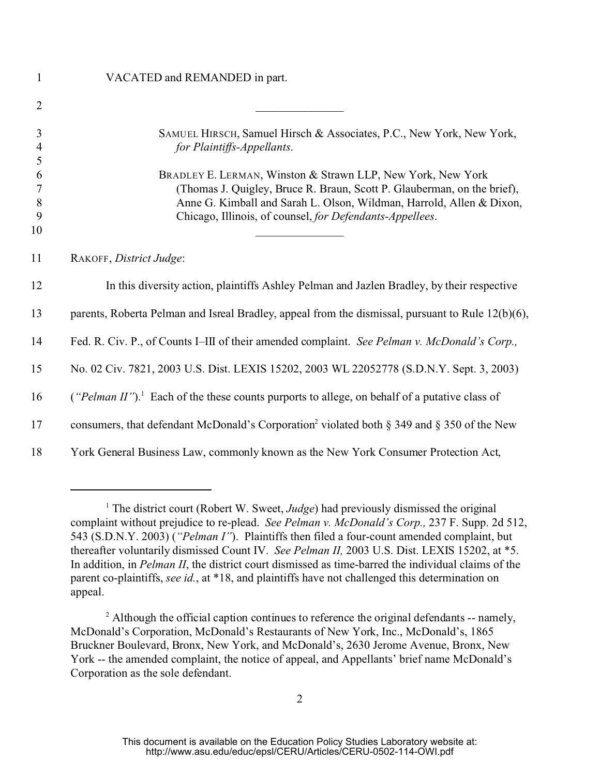| $\mathbf{1}$                                 | VACATED and REMANDED in part.                                                                                                                                                                                                                                              |
|----------------------------------------------|----------------------------------------------------------------------------------------------------------------------------------------------------------------------------------------------------------------------------------------------------------------------------|
| $\overline{2}$                               |                                                                                                                                                                                                                                                                            |
| 3<br>4                                       | SAMUEL HIRSCH, Samuel Hirsch & Associates, P.C., New York, New York,<br>for Plaintiffs-Appellants.                                                                                                                                                                         |
| 5<br>6<br>$\overline{7}$<br>$8\,$<br>9<br>10 | BRADLEY E. LERMAN, Winston & Strawn LLP, New York, New York<br>(Thomas J. Quigley, Bruce R. Braun, Scott P. Glauberman, on the brief),<br>Anne G. Kimball and Sarah L. Olson, Wildman, Harrold, Allen & Dixon,<br>Chicago, Illinois, of counsel, for Defendants-Appellees. |
| 11                                           | RAKOFF, District Judge:                                                                                                                                                                                                                                                    |
| 12                                           | In this diversity action, plaintiffs Ashley Pelman and Jazlen Bradley, by their respective                                                                                                                                                                                 |
| 13                                           | parents, Roberta Pelman and Isreal Bradley, appeal from the dismissal, pursuant to Rule 12(b)(6),                                                                                                                                                                          |
| 14                                           | Fed. R. Civ. P., of Counts I-III of their amended complaint. See Pelman v. McDonald's Corp.,                                                                                                                                                                               |
| 15                                           | No. 02 Civ. 7821, 2003 U.S. Dist. LEXIS 15202, 2003 WL 22052778 (S.D.N.Y. Sept. 3, 2003)                                                                                                                                                                                   |
| 16                                           | ("Pelman II"). <sup>1</sup> Each of the these counts purports to allege, on behalf of a putative class of                                                                                                                                                                  |
| 17                                           | consumers, that defendant McDonald's Corporation <sup>2</sup> violated both § 349 and § 350 of the New                                                                                                                                                                     |
| 18                                           | York General Business Law, commonly known as the New York Consumer Protection Act,                                                                                                                                                                                         |

<sup>&</sup>lt;sup>1</sup> The district court (Robert W. Sweet, *Judge*) had previously dismissed the original complaint without prejudice to re-plead. *See Pelman v. McDonald's Corp.,* 237 F. Supp. 2d 512, 543 (S.D.N.Y. 2003) (*"Pelman I"*). Plaintiffs then filed a four-count amended complaint, but thereafter voluntarily dismissed Count IV. *See Pelman II,* 2003 U.S. Dist. LEXIS 15202, at \*5. In addition, in *Pelman II*, the district court dismissed as time-barred the individual claims of the parent co-plaintiffs, *see id.*, at \*18, and plaintiffs have not challenged this determination on appeal.

 $2$  Although the official caption continues to reference the original defendants -- namely, McDonald's Corporation, McDonald's Restaurants of New York, Inc., McDonald's, 1865 Bruckner Boulevard, Bronx, New York, and McDonald's, 2630 Jerome Avenue, Bronx, New York -- the amended complaint, the notice of appeal, and Appellants' brief name McDonald's Corporation as the sole defendant.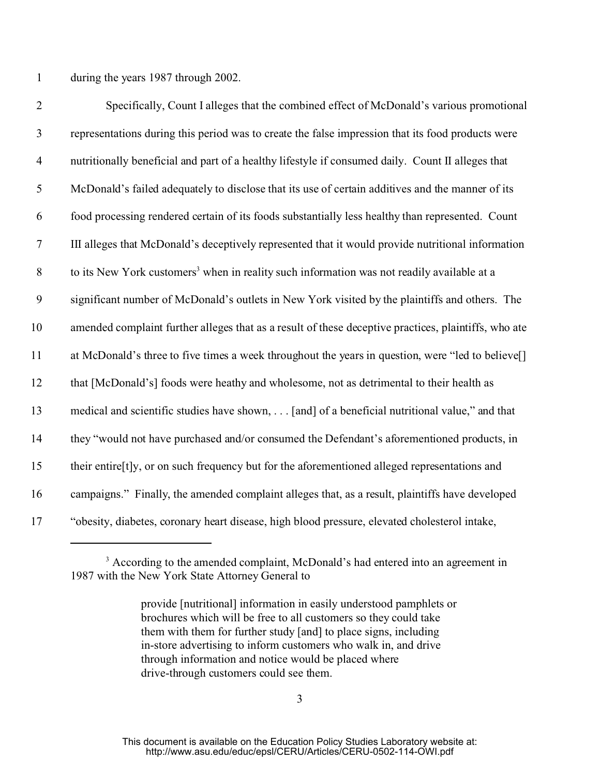during the years 1987 through 2002.

 Specifically, Count I alleges that the combined effect of McDonald's various promotional representations during this period was to create the false impression that its food products were nutritionally beneficial and part of a healthy lifestyle if consumed daily. Count II alleges that McDonald's failed adequately to disclose that its use of certain additives and the manner of its food processing rendered certain of its foods substantially less healthy than represented. Count III alleges that McDonald's deceptively represented that it would provide nutritional information 8 to its New York customers<sup>3</sup> when in reality such information was not readily available at a significant number of McDonald's outlets in New York visited by the plaintiffs and others. The amended complaint further alleges that as a result of these deceptive practices, plaintiffs, who ate at McDonald's three to five times a week throughout the years in question, were "led to believe[] that [McDonald's] foods were heathy and wholesome, not as detrimental to their health as medical and scientific studies have shown, . . . [and] of a beneficial nutritional value," and that they "would not have purchased and/or consumed the Defendant's aforementioned products, in their entire[t]y, or on such frequency but for the aforementioned alleged representations and campaigns." Finally, the amended complaint alleges that, as a result, plaintiffs have developed "obesity, diabetes, coronary heart disease, high blood pressure, elevated cholesterol intake,

<sup>&</sup>lt;sup>3</sup> According to the amended complaint, McDonald's had entered into an agreement in 1987 with the New York State Attorney General to

provide [nutritional] information in easily understood pamphlets or brochures which will be free to all customers so they could take them with them for further study [and] to place signs, including in-store advertising to inform customers who walk in, and drive through information and notice would be placed where drive-through customers could see them.

This document is available on the Education Policy Studies Laboratory website at: http://www.asu.edu/educ/epsl/CERU/Articles/CERU-0502-114-OWI.pdf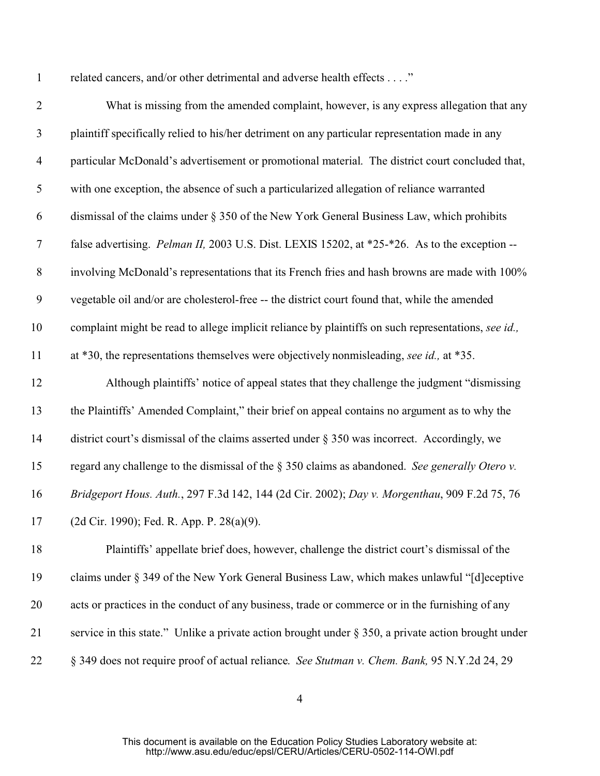related cancers, and/or other detrimental and adverse health effects . . . ."

| $\overline{2}$   | What is missing from the amended complaint, however, is any express allegation that any                |
|------------------|--------------------------------------------------------------------------------------------------------|
| $\mathfrak{Z}$   | plaintiff specifically relied to his/her detriment on any particular representation made in any        |
| $\overline{4}$   | particular McDonald's advertisement or promotional material. The district court concluded that,        |
| $\mathfrak s$    | with one exception, the absence of such a particularized allegation of reliance warranted              |
| 6                | dismissal of the claims under § 350 of the New York General Business Law, which prohibits              |
| $\boldsymbol{7}$ | false advertising. <i>Pelman II</i> , 2003 U.S. Dist. LEXIS 15202, at *25-*26. As to the exception --  |
| $8\phantom{1}$   | involving McDonald's representations that its French fries and hash browns are made with 100%          |
| $\boldsymbol{9}$ | vegetable oil and/or are cholesterol-free -- the district court found that, while the amended          |
| 10               | complaint might be read to allege implicit reliance by plaintiffs on such representations, see id.,    |
| 11               | at *30, the representations themselves were objectively nonmisleading, see id., at *35.                |
| 12               | Although plaintiffs' notice of appeal states that they challenge the judgment "dismissing"             |
| 13               | the Plaintiffs' Amended Complaint," their brief on appeal contains no argument as to why the           |
| 14               | district court's dismissal of the claims asserted under $\S 350$ was incorrect. Accordingly, we        |
| 15               | regard any challenge to the dismissal of the § 350 claims as abandoned. See generally Otero v.         |
| 16               | Bridgeport Hous. Auth., 297 F.3d 142, 144 (2d Cir. 2002); Day v. Morgenthau, 909 F.2d 75, 76           |
| 17               | $(2d$ Cir. 1990); Fed. R. App. P. $28(a)(9)$ .                                                         |
| 18               | Plaintiffs' appellate brief does, however, challenge the district court's dismissal of the             |
| 19               | claims under § 349 of the New York General Business Law, which makes unlawful "[d]eceptive             |
| 20               | acts or practices in the conduct of any business, trade or commerce or in the furnishing of any        |
| 21               | service in this state." Unlike a private action brought under $\S$ 350, a private action brought under |
| 22               | § 349 does not require proof of actual reliance. See Stutman v. Chem. Bank, 95 N.Y.2d 24, 29           |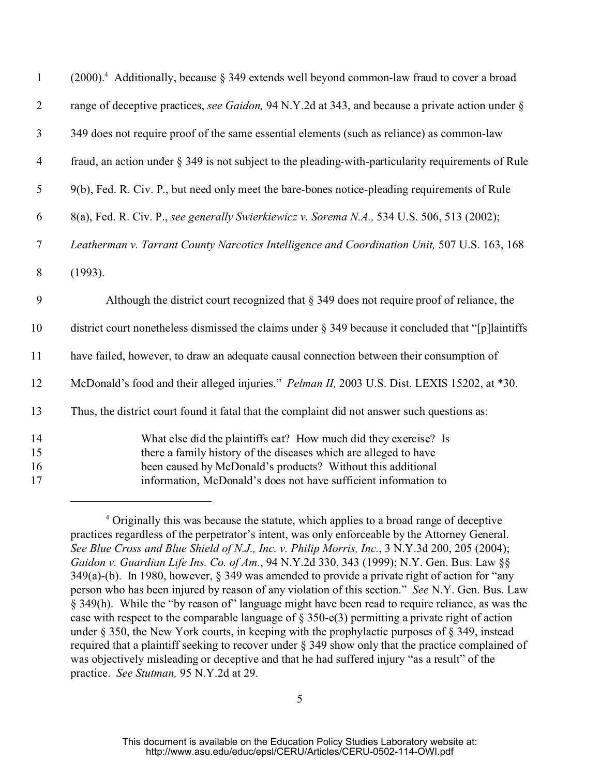| $\mathbf{1}$     | $(2000)^4$ Additionally, because § 349 extends well beyond common-law fraud to cover a broad            |
|------------------|---------------------------------------------------------------------------------------------------------|
| $\overline{2}$   | range of deceptive practices, see Gaidon, 94 N.Y.2d at 343, and because a private action under §        |
| $\mathfrak{Z}$   | 349 does not require proof of the same essential elements (such as reliance) as common-law              |
| $\overline{4}$   | fraud, an action under § 349 is not subject to the pleading-with-particularity requirements of Rule     |
| 5                | 9(b), Fed. R. Civ. P., but need only meet the bare-bones notice-pleading requirements of Rule           |
| 6                | 8(a), Fed. R. Civ. P., see generally Swierkiewicz v. Sorema N.A., 534 U.S. 506, 513 (2002);             |
| $\boldsymbol{7}$ | Leatherman v. Tarrant County Narcotics Intelligence and Coordination Unit, 507 U.S. 163, 168            |
| $8\,$            | (1993).                                                                                                 |
| 9                | Although the district court recognized that $\S 349$ does not require proof of reliance, the            |
| 10               | district court nonetheless dismissed the claims under $\S$ 349 because it concluded that "[p] laintiffs |
| 11               | have failed, however, to draw an adequate causal connection between their consumption of                |
| 12               | McDonald's food and their alleged injuries." <i>Pelman II</i> , 2003 U.S. Dist. LEXIS 15202, at *30.    |
| 13               | Thus, the district court found it fatal that the complaint did not answer such questions as:            |
| 14               | What else did the plaintiffs eat? How much did they exercise? Is                                        |
| 15               | there a family history of the diseases which are alleged to have                                        |
| 16               | been caused by McDonald's products? Without this additional                                             |
| 17               | information, McDonald's does not have sufficient information to                                         |

 $(2000)^4$ 

<sup>&</sup>lt;sup>4</sup> Originally this was because the statute, which applies to a broad range of deceptive practices regardless of the perpetrator's intent, was only enforceable by the Attorney General. *See Blue Cross and Blue Shield of N.J., Inc. v. Philip Morris, Inc.*, 3 N.Y.3d 200, 205 (2004); *Gaidon v. Guardian Life Ins. Co. of Am.*, 94 N.Y.2d 330, 343 (1999); N.Y. Gen. Bus. Law §§ 349(a)-(b). In 1980, however, § 349 was amended to provide a private right of action for "any person who has been injured by reason of any violation of this section." *See* N.Y. Gen. Bus. Law § 349(h). While the "by reason of" language might have been read to require reliance, as was the case with respect to the comparable language of § 350-e(3) permitting a private right of action under § 350, the New York courts, in keeping with the prophylactic purposes of § 349, instead required that a plaintiff seeking to recover under § 349 show only that the practice complained of was objectively misleading or deceptive and that he had suffered injury "as a result" of the practice. *See Stutman,* 95 N.Y.2d at 29.